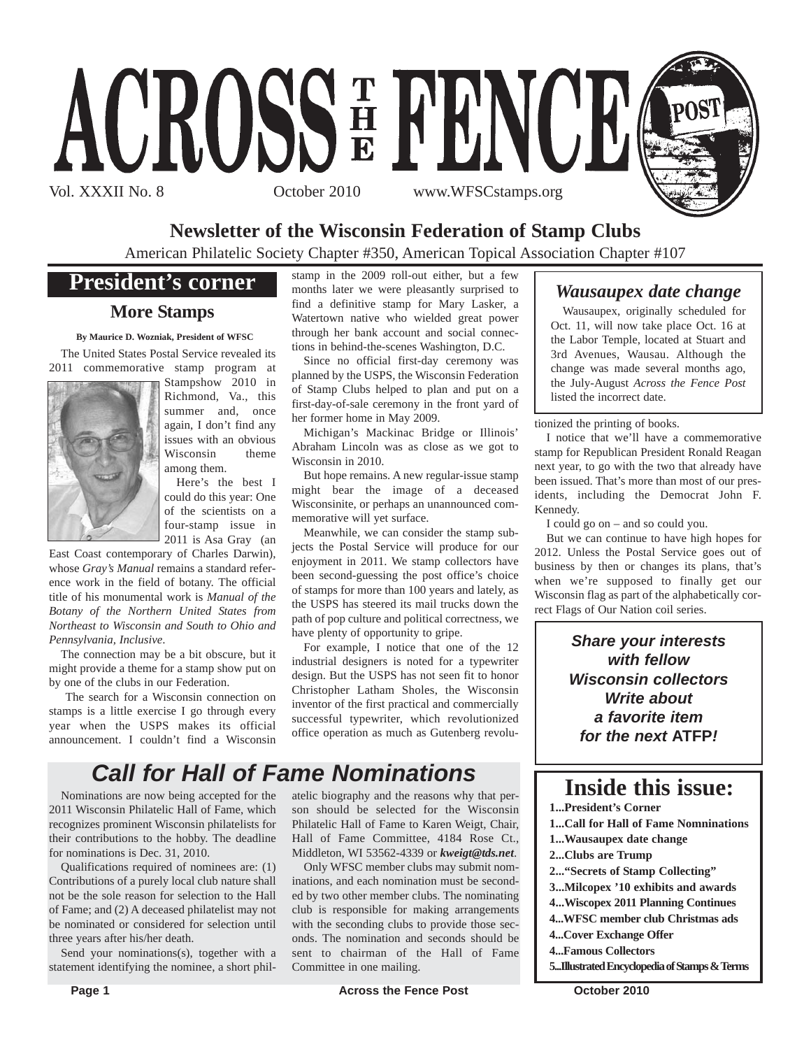

### **Newsletter of the Wisconsin Federation of Stamp Clubs**

American Philatelic Society Chapter #350, American Topical Association Chapter #107

### **President's corner**

#### **More Stamps**

**By Maurice D. Wozniak, President of WFSC**

The United States Postal Service revealed its 2011 commemorative stamp program at



Stampshow 2010 in Richmond, Va., this summer and, once again, I don't find any issues with an obvious Wisconsin theme among them.

Here's the best I could do this year: One of the scientists on a four-stamp issue in 2011 is Asa Gray (an

East Coast contemporary of Charles Darwin), whose *Gray's Manual* remains a standard reference work in the field of botany. The official title of his monumental work is *Manual of the Botany of the Northern United States from Northeast to Wisconsin and South to Ohio and Pennsylvania, Inclusive*.

The connection may be a bit obscure, but it might provide a theme for a stamp show put on by one of the clubs in our Federation.

The search for a Wisconsin connection on stamps is a little exercise I go through every year when the USPS makes its official announcement. I couldn't find a Wisconsin stamp in the 2009 roll-out either, but a few months later we were pleasantly surprised to find a definitive stamp for Mary Lasker, a Watertown native who wielded great power through her bank account and social connections in behind-the-scenes Washington, D.C.

Since no official first-day ceremony was planned by the USPS, the Wisconsin Federation of Stamp Clubs helped to plan and put on a first-day-of-sale ceremony in the front yard of her former home in May 2009.

Michigan's Mackinac Bridge or Illinois' Abraham Lincoln was as close as we got to Wisconsin in 2010.

But hope remains. A new regular-issue stamp might bear the image of a deceased Wisconsinite, or perhaps an unannounced commemorative will yet surface.

Meanwhile, we can consider the stamp subjects the Postal Service will produce for our enjoyment in 2011. We stamp collectors have been second-guessing the post office's choice of stamps for more than 100 years and lately, as the USPS has steered its mail trucks down the path of pop culture and political correctness, we have plenty of opportunity to gripe.

For example, I notice that one of the 12 industrial designers is noted for a typewriter design. But the USPS has not seen fit to honor Christopher Latham Sholes, the Wisconsin inventor of the first practical and commercially successful typewriter, which revolutionized office operation as much as Gutenberg revolu-

# *Call for Hall of Fame Nominations*

Nominations are now being accepted for the 2011 Wisconsin Philatelic Hall of Fame, which recognizes prominent Wisconsin philatelists for their contributions to the hobby. The deadline for nominations is Dec. 31, 2010.

Qualifications required of nominees are: (1) Contributions of a purely local club nature shall not be the sole reason for selection to the Hall of Fame; and (2) A deceased philatelist may not be nominated or considered for selection until three years after his/her death.

Send your nominations(s), together with a statement identifying the nominee, a short philatelic biography and the reasons why that person should be selected for the Wisconsin Philatelic Hall of Fame to Karen Weigt, Chair, Hall of Fame Committee, 4184 Rose Ct., Middleton, WI 53562-4339 or *kweigt@tds.net*.

Only WFSC member clubs may submit nominations, and each nomination must be seconded by two other member clubs. The nominating club is responsible for making arrangements with the seconding clubs to provide those seconds. The nomination and seconds should be sent to chairman of the Hall of Fame Committee in one mailing.

### *Wausaupex date change*

Wausaupex, originally scheduled for Oct. 11, will now take place Oct. 16 at the Labor Temple, located at Stuart and 3rd Avenues, Wausau. Although the change was made several months ago, the July-August *Across the Fence Post* listed the incorrect date.

tionized the printing of books.

I notice that we'll have a commemorative stamp for Republican President Ronald Reagan next year, to go with the two that already have been issued. That's more than most of our presidents, including the Democrat John F. Kennedy.

I could go on – and so could you.

But we can continue to have high hopes for 2012. Unless the Postal Service goes out of business by then or changes its plans, that's when we're supposed to finally get our Wisconsin flag as part of the alphabetically correct Flags of Our Nation coil series.

> *Share your interests with fellow Wisconsin collectors Write about a favorite item for the next* **ATFP***!*

# **Inside this issue:**

**1...President's Corner 1...Call for Hall of Fame Nomninations 1...Wausaupex date change 2...Clubs are Trump 2..."Secrets of Stamp Collecting" 3...Milcopex '10 exhibits and awards 4...Wiscopex 2011 Planning Continues 4...WFSC member club Christmas ads 4...Cover Exchange Offer 4...Famous Collectors 5...Illustrated Encyclopedia of Stamps & Terms**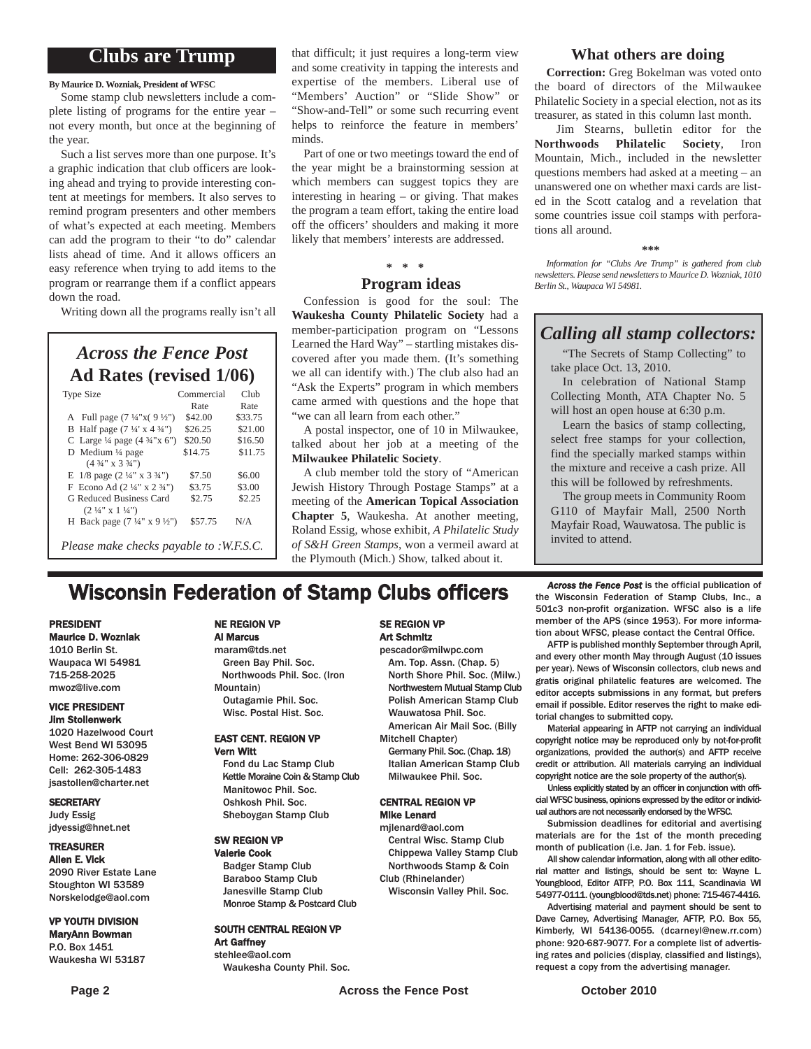#### **Clubs are Trump**

**By Maurice D. Wozniak, President of WFSC**

Some stamp club newsletters include a complete listing of programs for the entire year – not every month, but once at the beginning of the year.

Such a list serves more than one purpose. It's a graphic indication that club officers are looking ahead and trying to provide interesting content at meetings for members. It also serves to remind program presenters and other members of what's expected at each meeting. Members can add the program to their "to do" calendar lists ahead of time. And it allows officers an easy reference when trying to add items to the program or rearrange them if a conflict appears down the road.

Writing down all the programs really isn't all

*Across the Fence Post* **Ad Rates (revised 1/06)**

| <b>Type Size</b>                                    | Commercial | Club    |
|-----------------------------------------------------|------------|---------|
|                                                     | Rate       | Rate    |
| A Full page $(7\frac{1}{4}x)(9\frac{1}{2}x)$        | \$42.00    | \$33.75 |
| B Half page $(7\frac{1}{4} \times 4\frac{3}{4})$    | \$26.25    | \$21.00 |
| C Large $\frac{1}{4}$ page $(4 \frac{3}{4} x)$ (5") | \$20.50    | \$16.50 |
| D Medium $\frac{1}{4}$ page                         | \$14.75    | \$11.75 |
| $(4\frac{3}{4}$ " x 3 $\frac{3}{4}$ ")              |            |         |
| E $1/8$ page $(2\frac{1}{4}$ " x $3\frac{3}{4}$ ")  | \$7.50     | \$6.00  |
| F Econo Ad $(2\frac{1}{4}$ " x $2\frac{3}{4}$ ")    | \$3.75     | \$3.00  |
| G Reduced Business Card                             | \$2.75     | \$2.25  |
| $(2\frac{1}{4}$ " x $1\frac{1}{4}$ ")               |            |         |
| H Back page $(7\frac{1}{4}$ " x 9 $\frac{1}{2}$ ")  | \$57.75    | N/A     |
|                                                     |            |         |
| Please make checks payable to :W.F.S.C.             |            |         |

that difficult; it just requires a long-term view and some creativity in tapping the interests and expertise of the members. Liberal use of "Members' Auction" or "Slide Show" or "Show-and-Tell" or some such recurring event helps to reinforce the feature in members' minds.

Part of one or two meetings toward the end of the year might be a brainstorming session at which members can suggest topics they are interesting in hearing – or giving. That makes the program a team effort, taking the entire load off the officers' shoulders and making it more likely that members' interests are addressed.

#### **\* \* \* Program ideas**

Confession is good for the soul: The **Waukesha County Philatelic Society** had a member-participation program on "Lessons Learned the Hard Way" – startling mistakes discovered after you made them. (It's something we all can identify with.) The club also had an "Ask the Experts" program in which members came armed with questions and the hope that "we can all learn from each other."

A postal inspector, one of 10 in Milwaukee, talked about her job at a meeting of the **Milwaukee Philatelic Society**.

A club member told the story of "American Jewish History Through Postage Stamps" at a meeting of the **American Topical Association Chapter 5**, Waukesha. At another meeting, Roland Essig, whose exhibit, *A Philatelic Study of S&H Green Stamps*, won a vermeil award at the Plymouth (Mich.) Show, talked about it.

#### **What others are doing**

**Correction:** Greg Bokelman was voted onto the board of directors of the Milwaukee Philatelic Society in a special election, not as its treasurer, as stated in this column last month.

Jim Stearns, bulletin editor for the **Northwoods Philatelic Society**, Iron Mountain, Mich., included in the newsletter questions members had asked at a meeting – an unanswered one on whether maxi cards are listed in the Scott catalog and a revelation that some countries issue coil stamps with perforations all around.

#### **\*\*\***

*Information for "Clubs Are Trump" is gathered from club newsletters. Please send newsletters to Maurice D. Wozniak, 1010 Berlin St., Waupaca WI 54981.*

#### *Calling all stamp collectors:*

"The Secrets of Stamp Collecting" to take place Oct. 13, 2010.

In celebration of National Stamp Collecting Month, ATA Chapter No. 5 will host an open house at 6:30 p.m.

Learn the basics of stamp collecting, select free stamps for your collection, find the specially marked stamps within the mixture and receive a cash prize. All this will be followed by refreshments.

The group meets in Community Room G110 of Mayfair Mall, 2500 North Mayfair Road, Wauwatosa. The public is invited to attend.

# **Wisconsin Federation of Stamp Clubs officers** *Across the Fence Post* is the official publication of stamp Clubs, Inc., a

#### PRESIDENT Maurice D. Wozniak

1010 Berlin St. Waupaca WI 54981 715-258-2025 mwoz@live.com

#### VICE PRESIDENT Jim Stollenwerk

1020 Hazelwood Court West Bend WI 53095 Home: 262-306-0829 Cell: 262-305-1483 jsastollen@charter.net

#### **SECRETARY**

Judy Essig jdyessig@hnet.net

#### TREASURER

Allen E. Vick 2090 River Estate Lane Stoughton WI 53589 Norskelodge@aol.com

#### VP YOUTH DIVISION MaryAnn Bowman

P.O. Box 1451 Waukesha WI 53187

#### NE REGION VP Al Marcus

maram@tds.net Green Bay Phil. Soc. Northwoods Phil. Soc. (Iron Mountain) Outagamie Phil. Soc. Wisc. Postal Hist. Soc.

#### EAST CENT. REGION VP Vern Witt

Fond du Lac Stamp Club Kettle Moraine Coin & Stamp Club Manitowoc Phil. Soc. Oshkosh Phil. Soc. Sheboygan Stamp Club

#### SW REGION VP Valerie Cook

Badger Stamp Club Baraboo Stamp Club Janesville Stamp Club Monroe Stamp & Postcard Club

#### SOUTH CENTRAL REGION VP Art Gaffney

stehlee@aol.com Waukesha County Phil. Soc.

#### SE REGION VP Art Schmitz

pescador@milwpc.com Am. Top. Assn. (Chap. 5) North Shore Phil. Soc. (Milw.) Northwestern Mutual Stamp Club Polish American Stamp Club Wauwatosa Phil. Soc. American Air Mail Soc. (Billy

Mitchell Chapter)

Germany Phil. Soc. (Chap. 18) Italian American Stamp Club Milwaukee Phil. Soc.

#### CENTRAL REGION VP Mike Lenard

mjlenard@aol.com Central Wisc. Stamp Club Chippewa Valley Stamp Club Northwoods Stamp & Coin Club (Rhinelander)

Wisconsin Valley Phil. Soc.

the Wisconsin Federation of Stamp Clubs, Inc., a 501c3 non-profit organization. WFSC also is a life member of the APS (since 1953). For more information about WFSC, please contact the Central Office.

AFTP is published monthly September through April, and every other month May through August (10 issues per year). News of Wisconsin collectors, club news and gratis original philatelic features are welcomed. The editor accepts submissions in any format, but prefers email if possible. Editor reserves the right to make editorial changes to submitted copy.

Material appearing in AFTP not carrying an individual copyright notice may be reproduced only by not-for-profit organizations, provided the author(s) and AFTP receive credit or attribution. All materials carrying an individual copyright notice are the sole property of the author(s).

Unless explicitly stated by an officer in conjunction with official WFSC business, opinions expressed by the editor or individual authors are not necessarily endorsed by the WFSC.

Submission deadlines for editorial and avertising materials are for the 1st of the month preceding month of publication (i.e. Jan. 1 for Feb. issue).

All show calendar information, along with all other editorial matter and listings, should be sent to: Wayne L. Youngblood, Editor ATFP, P.O. Box 111, Scandinavia WI 54977-0111. (youngblood@tds.net) phone: 715-467-4416.

Advertising material and payment should be sent to Dave Carney, Advertising Manager, AFTP, P.O. Box 55, Kimberly, WI 54136-0055. (dcarneyl@new.rr.com) phone: 920-687-9077. For a complete list of advertising rates and policies (display, classified and listings), request a copy from the advertising manager.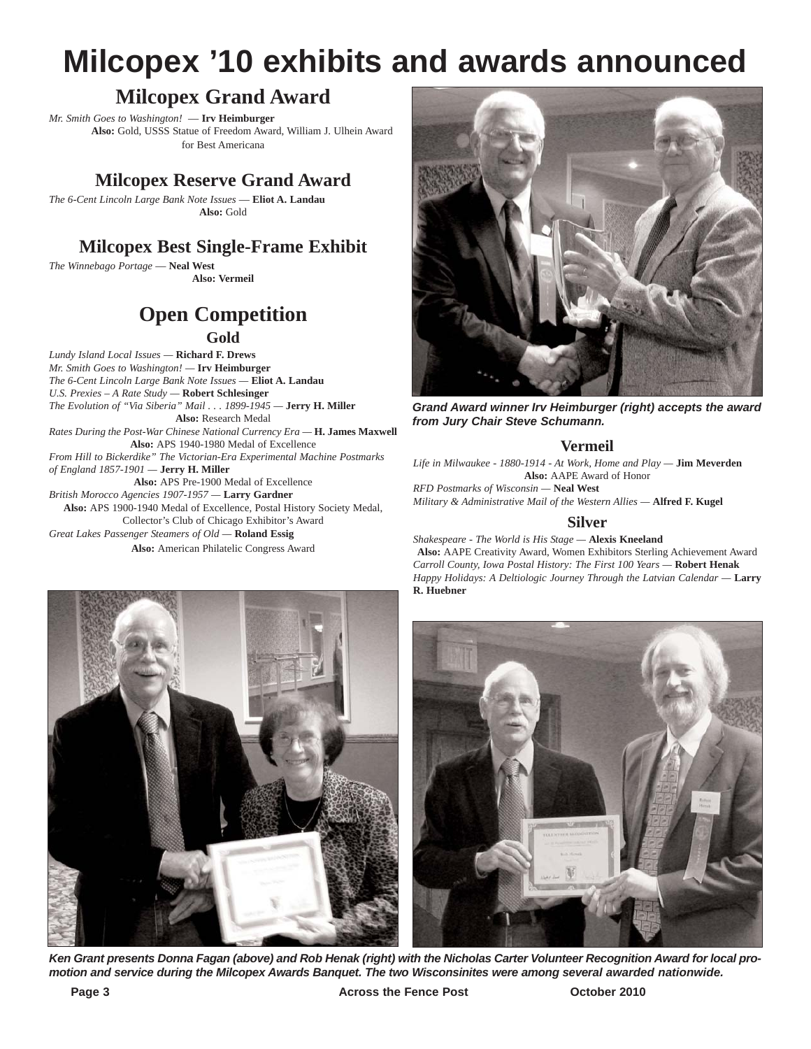# **Milcopex '10 exhibits and awards announced**

## **Milcopex Grand Award**

*Mr. Smith Goes to Washington!* — **Irv Heimburger Also:** Gold, USSS Statue of Freedom Award, William J. Ulhein Award for Best Americana

### **Milcopex Reserve Grand Award**

*The 6-Cent Lincoln Large Bank Note Issues* — **Eliot A. Landau Also:** Gold

## **Milcopex Best Single-Frame Exhibit**

*The Winnebago Portage* — **Neal West Also: Vermeil**

# **Open Competition**

**Gold**

*Lundy Island Local Issues —* **Richard F. Drews** *Mr. Smith Goes to Washington! —* **Irv Heimburger** *The 6-Cent Lincoln Large Bank Note Issues —* **Eliot A. Landau** *U.S. Prexies – A Rate Study —* **Robert Schlesinger** *The Evolution of "Via Siberia" Mail . . . 1899-1945 —* **Jerry H. Miller Also:** Research Medal *Rates During the Post-War Chinese National Currency Era —* **H. James Maxwell Also:** APS 1940-1980 Medal of Excellence *From Hill to Bickerdike" The Victorian-Era Experimental Machine Postmarks of England 1857-1901 —* **Jerry H. Miller Also:** APS Pre-1900 Medal of Excellence *British Morocco Agencies 1907-1957 —* **Larry Gardner Also:** APS 1900-1940 Medal of Excellence, Postal History Society Medal, Collector's Club of Chicago Exhibitor's Award *Great Lakes Passenger Steamers of Old —* **Roland Essig Also:** American Philatelic Congress Award



*Grand Award winner Irv Heimburger (right) accepts the award from Jury Chair Steve Schumann.*

#### **Vermeil**

*Life in Milwaukee - 1880-1914 - At Work, Home and Play —* **Jim Meverden Also:** AAPE Award of Honor *RFD Postmarks of Wisconsin —* **Neal West** *Military & Administrative Mail of the Western Allies —* **Alfred F. Kugel**

#### **Silver**

*Shakespeare - The World is His Stage —* **Alexis Kneeland Also:** AAPE Creativity Award, Women Exhibitors Sterling Achievement Award *Carroll County, Iowa Postal History: The First 100 Years —* **Robert Henak** *Happy Holidays: A Deltiologic Journey Through the Latvian Calendar —* **Larry R. Huebner**



*Ken Grant presents Donna Fagan (above) and Rob Henak (right) with the Nicholas Carter Volunteer Recognition Award for local promotion and service during the Milcopex Awards Banquet. The two Wisconsinites were among several awarded nationwide.*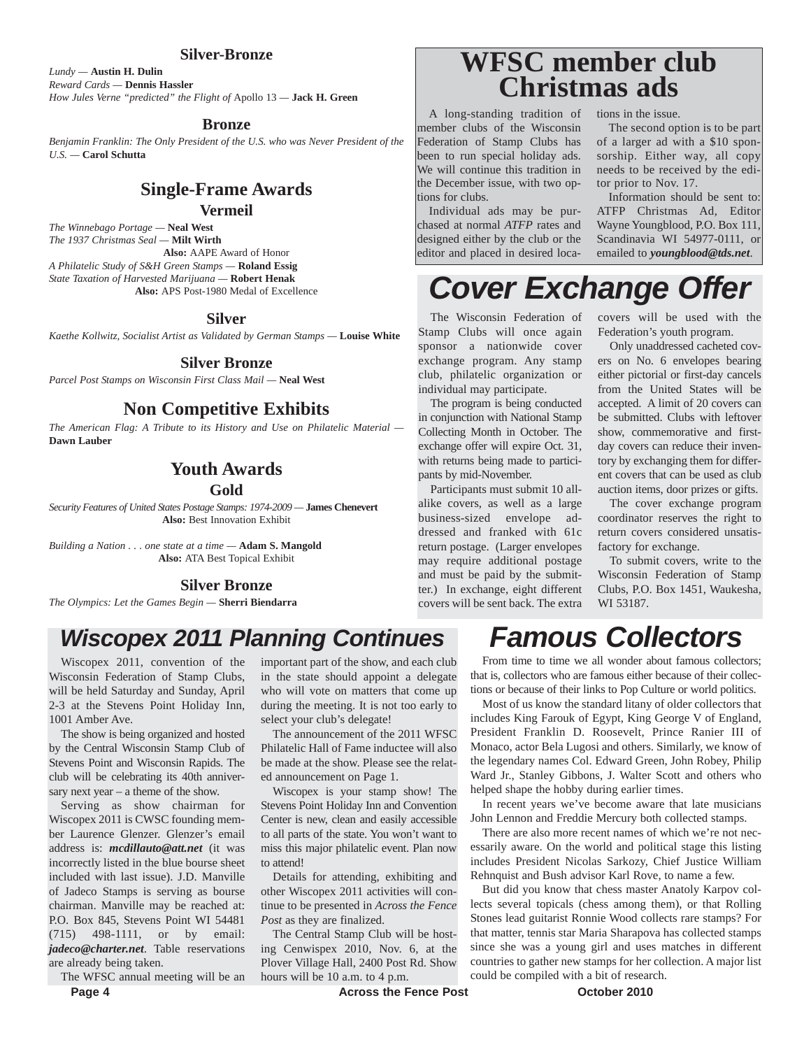#### **Silver-Bronze**

*Lundy —* **Austin H. Dulin** *Reward Cards —* **Dennis Hassler** *How Jules Verne "predicted" the Flight of* Apollo 13 *—* **Jack H. Green**

#### **Bronze**

*Benjamin Franklin: The Only President of the U.S. who was Never President of the U.S. —* **Carol Schutta** 

#### **Single-Frame Awards Vermeil**

*The Winnebago Portage —* **Neal West** *The 1937 Christmas Seal —* **Milt Wirth Also:** AAPE Award of Honor *A Philatelic Study of S&H Green Stamps —* **Roland Essig** *State Taxation of Harvested Marijuana —* **Robert Henak Also:** APS Post-1980 Medal of Excellence

#### **Silver**

*Kaethe Kollwitz, Socialist Artist as Validated by German Stamps —* **Louise White**

#### **Silver Bronze**

*Parcel Post Stamps on Wisconsin First Class Mail —* **Neal West**

#### **Non Competitive Exhibits**

*The American Flag: A Tribute to its History and Use on Philatelic Material —* **Dawn Lauber**

#### **Youth Awards**

#### **Gold**

*Security Features of United States Postage Stamps: 1974-2009 —* **James Chenevert Also:** Best Innovation Exhibit

*Building a Nation . . . one state at a time —* **Adam S. Mangold Also:** ATA Best Topical Exhibit

#### **Silver Bronze**

*The Olympics: Let the Games Begin —* **Sherri Biendarra**

# **WFSC member club Christmas ads**

A long-standing tradition of member clubs of the Wisconsin Federation of Stamp Clubs has been to run special holiday ads. We will continue this tradition in the December issue, with two options for clubs.

Individual ads may be purchased at normal *ATFP* rates and designed either by the club or the editor and placed in desired locations in the issue.

The second option is to be part of a larger ad with a \$10 sponsorship. Either way, all copy needs to be received by the editor prior to Nov. 17.

Information should be sent to: ATFP Christmas Ad, Editor Wayne Youngblood, P.O. Box 111, Scandinavia WI 54977-0111, or emailed to *youngblood@tds.net*.

# *Cover Exchange Offer*

The Wisconsin Federation of Stamp Clubs will once again sponsor a nationwide cover exchange program. Any stamp club, philatelic organization or individual may participate.

The program is being conducted in conjunction with National Stamp Collecting Month in October. The exchange offer will expire Oct. 31, with returns being made to participants by mid-November.

Participants must submit 10 allalike covers, as well as a large business-sized envelope addressed and franked with 61c return postage. (Larger envelopes may require additional postage and must be paid by the submitter.) In exchange, eight different covers will be sent back. The extra covers will be used with the Federation's youth program.

Only unaddressed cacheted covers on No. 6 envelopes bearing either pictorial or first-day cancels from the United States will be accepted. A limit of 20 covers can be submitted. Clubs with leftover show, commemorative and firstday covers can reduce their inventory by exchanging them for different covers that can be used as club auction items, door prizes or gifts.

The cover exchange program coordinator reserves the right to return covers considered unsatisfactory for exchange.

To submit covers, write to the Wisconsin Federation of Stamp Clubs, P.O. Box 1451, Waukesha, WI 53187.

# *Wiscopex 2011 Planning Continues*

Wiscopex 2011, convention of the Wisconsin Federation of Stamp Clubs, will be held Saturday and Sunday, April 2-3 at the Stevens Point Holiday Inn, 1001 Amber Ave.

The show is being organized and hosted by the Central Wisconsin Stamp Club of Stevens Point and Wisconsin Rapids. The club will be celebrating its 40th anniversary next year – a theme of the show.

Serving as show chairman for Wiscopex 2011 is CWSC founding member Laurence Glenzer. Glenzer's email address is: *mcdillauto@att.net* (it was incorrectly listed in the blue bourse sheet included with last issue). J.D. Manville of Jadeco Stamps is serving as bourse chairman. Manville may be reached at: P.O. Box 845, Stevens Point WI 54481 (715) 498-1111, or by email: *jadeco@charter.net*. Table reservations are already being taken.

The WFSC annual meeting will be an

important part of the show, and each club in the state should appoint a delegate who will vote on matters that come up during the meeting. It is not too early to select your club's delegate!

The announcement of the 2011 WFSC Philatelic Hall of Fame inductee will also be made at the show. Please see the related announcement on Page 1.

Wiscopex is your stamp show! The Stevens Point Holiday Inn and Convention Center is new, clean and easily accessible to all parts of the state. You won't want to miss this major philatelic event. Plan now to attend!

Details for attending, exhibiting and other Wiscopex 2011 activities will continue to be presented in *Across the Fence Post* as they are finalized.

The Central Stamp Club will be hosting Cenwispex 2010, Nov. 6, at the Plover Village Hall, 2400 Post Rd. Show hours will be 10 a.m. to 4 p.m.

# *Famous Collectors*

From time to time we all wonder about famous collectors; that is, collectors who are famous either because of their collections or because of their links to Pop Culture or world politics.

Most of us know the standard litany of older collectors that includes King Farouk of Egypt, King George V of England, President Franklin D. Roosevelt, Prince Ranier III of Monaco, actor Bela Lugosi and others. Similarly, we know of the legendary names Col. Edward Green, John Robey, Philip Ward Jr., Stanley Gibbons, J. Walter Scott and others who helped shape the hobby during earlier times.

In recent years we've become aware that late musicians John Lennon and Freddie Mercury both collected stamps.

There are also more recent names of which we're not necessarily aware. On the world and political stage this listing includes President Nicolas Sarkozy, Chief Justice William Rehnquist and Bush advisor Karl Rove, to name a few.

But did you know that chess master Anatoly Karpov collects several topicals (chess among them), or that Rolling Stones lead guitarist Ronnie Wood collects rare stamps? For that matter, tennis star Maria Sharapova has collected stamps since she was a young girl and uses matches in different countries to gather new stamps for her collection. A major list could be compiled with a bit of research.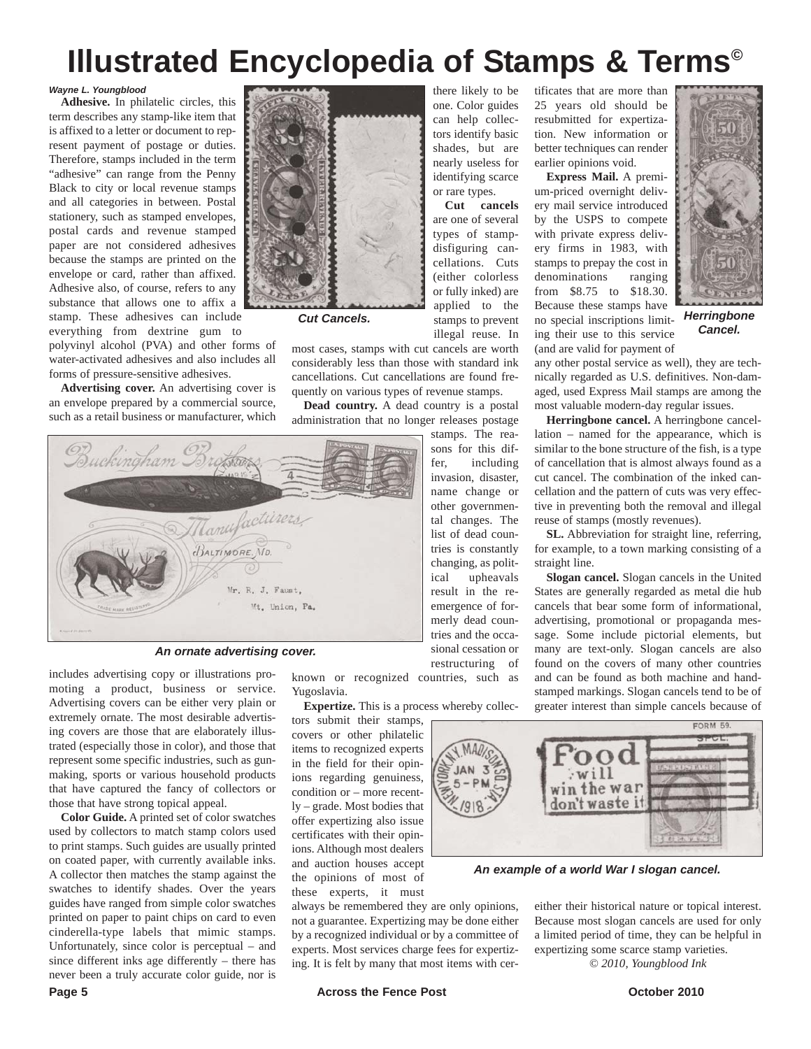# **Illustrated Encyclopedia of Stamps & Terms©**

or rare types. **Cut cancels** are one of several types of stampdisfiguring cancellations. Cuts (either colorless or fully inked) are applied to the stamps to prevent

#### *Wayne L. Youngblood*

**Adhesive.** In philatelic circles, this term describes any stamp-like item that is affixed to a letter or document to represent payment of postage or duties. Therefore, stamps included in the term "adhesive" can range from the Penny Black to city or local revenue stamps and all categories in between. Postal stationery, such as stamped envelopes, postal cards and revenue stamped paper are not considered adhesives because the stamps are printed on the envelope or card, rather than affixed. Adhesive also, of course, refers to any substance that allows one to affix a stamp. These adhesives can include everything from dextrine gum to

polyvinyl alcohol (PVA) and other forms of water-activated adhesives and also includes all forms of pressure-sensitive adhesives.

**Advertising cover.** An advertising cover is an envelope prepared by a commercial source, such as a retail business or manufacturer, which



*Cut Cancels.*

illegal reuse. In most cases, stamps with cut cancels are worth considerably less than those with standard ink cancellations. Cut cancellations are found frequently on various types of revenue stamps.

**Dead country.** A dead country is a postal administration that no longer releases postage



*An ornate advertising cover.*

includes advertising copy or illustrations promoting a product, business or service. Advertising covers can be either very plain or extremely ornate. The most desirable advertising covers are those that are elaborately illustrated (especially those in color), and those that represent some specific industries, such as gunmaking, sports or various household products that have captured the fancy of collectors or those that have strong topical appeal.

**Color Guide.** A printed set of color swatches used by collectors to match stamp colors used to print stamps. Such guides are usually printed on coated paper, with currently available inks. A collector then matches the stamp against the swatches to identify shades. Over the years guides have ranged from simple color swatches printed on paper to paint chips on card to even cinderella-type labels that mimic stamps. Unfortunately, since color is perceptual – and since different inks age differently – there has never been a truly accurate color guide, nor is

known or recognized countries, such as Yugoslavia.

restructuring of

**Expertize.** This is a process whereby collec-

tors submit their stamps, covers or other philatelic items to recognized experts in the field for their opinions regarding genuiness, condition or – more recently – grade. Most bodies that offer expertizing also issue certificates with their opinions. Although most dealers and auction houses accept the opinions of most of these experts, it must

always be remembered they are only opinions, not a guarantee. Expertizing may be done either by a recognized individual or by a committee of experts. Most services charge fees for expertizing. It is felt by many that most items with cer-

there likely to be one. Color guides can help collectors identify basic shades, but are nearly useless for identifying scarce tificates that are more than 25 years old should be resubmitted for expertization. New information or better techniques can render earlier opinions void.

**Express Mail.** A premium-priced overnight delivery mail service introduced by the USPS to compete with private express delivery firms in 1983, with stamps to prepay the cost in denominations ranging from \$8.75 to \$18.30. Because these stamps have no special inscriptions limiting their use to this service (and are valid for payment of



*Herringbone Cancel.*

any other postal service as well), they are technically regarded as U.S. definitives. Non-damaged, used Express Mail stamps are among the most valuable modern-day regular issues.

**Herringbone cancel.** A herringbone cancellation – named for the appearance, which is similar to the bone structure of the fish, is a type of cancellation that is almost always found as a cut cancel. The combination of the inked cancellation and the pattern of cuts was very effective in preventing both the removal and illegal reuse of stamps (mostly revenues).

**SL.** Abbreviation for straight line, referring, for example, to a town marking consisting of a straight line.

**Slogan cancel.** Slogan cancels in the United States are generally regarded as metal die hub cancels that bear some form of informational, advertising, promotional or propaganda message. Some include pictorial elements, but many are text-only. Slogan cancels are also found on the covers of many other countries and can be found as both machine and handstamped markings. Slogan cancels tend to be of greater interest than simple cancels because of



*An example of a world War I slogan cancel.*

either their historical nature or topical interest. Because most slogan cancels are used for only a limited period of time, they can be helpful in expertizing some scarce stamp varieties.

*© 2010, Youngblood Ink*